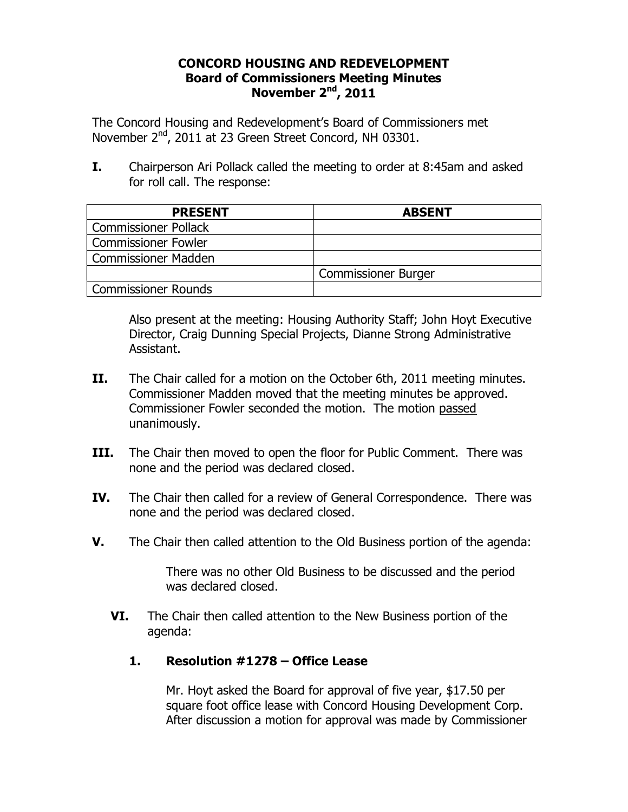## **CONCORD HOUSING AND REDEVELOPMENT Board of Commissioners Meeting Minutes November 2nd, 2011**

The Concord Housing and Redevelopment's Board of Commissioners met November 2nd, 2011 at 23 Green Street Concord, NH 03301.

**I.** Chairperson Ari Pollack called the meeting to order at 8:45am and asked for roll call. The response:

| <b>PRESENT</b>              | <b>ABSENT</b>              |
|-----------------------------|----------------------------|
| <b>Commissioner Pollack</b> |                            |
| <b>Commissioner Fowler</b>  |                            |
| <b>Commissioner Madden</b>  |                            |
|                             | <b>Commissioner Burger</b> |
| <b>Commissioner Rounds</b>  |                            |

Also present at the meeting: Housing Authority Staff; John Hoyt Executive Director, Craig Dunning Special Projects, Dianne Strong Administrative Assistant.

- **II.** The Chair called for a motion on the October 6th, 2011 meeting minutes. Commissioner Madden moved that the meeting minutes be approved. Commissioner Fowler seconded the motion. The motion passed unanimously.
- **III.** The Chair then moved to open the floor for Public Comment. There was none and the period was declared closed.
- **IV.** The Chair then called for a review of General Correspondence. There was none and the period was declared closed.
- **V.** The Chair then called attention to the Old Business portion of the agenda:

There was no other Old Business to be discussed and the period was declared closed.

**VI.** The Chair then called attention to the New Business portion of the agenda:

## **1. Resolution #1278 – Office Lease**

Mr. Hoyt asked the Board for approval of five year, \$17.50 per square foot office lease with Concord Housing Development Corp. After discussion a motion for approval was made by Commissioner